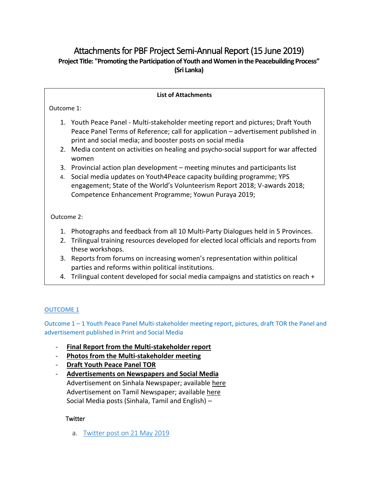# Attachments for PBF Project Semi-Annual Report (15 June 2019) **Project Title: "Promoting the Participation of Youth and Women in the Peacebuilding Process" (Sri Lanka)**

# **List of Attachments**

Outcome 1:

- 1. Youth Peace Panel Multi-stakeholder meeting report and pictures; Draft Youth Peace Panel Terms of Reference; call for application – advertisement published in print and social media; and booster posts on social media
- 2. Media content on activities on healing and psycho-social support for war affected women
- 3. Provincial action plan development meeting minutes and participants list
- 4. Social media updates on Youth4Peace capacity building programme; YPS engagement; State of the World's Volunteerism Report 2018; V-awards 2018; Competence Enhancement Programme; Yowun Puraya 2019;

Outcome 2:

- 1. Photographs and feedback from all 10 Multi-Party Dialogues held in 5 Provinces.
- 2. Trilingual training resources developed for elected local officials and reports from these workshops.
- 3. Reports from forums on increasing women's representation within political parties and reforms within political institutions.

reports on trainings on social media for elected officials.

4. Trilingual content developed for social media campaigns and statistics on reach +

# **OUTCOME 1**

Outcome 1 – 1 Youth Peace Panel Multi-stakeholder meeting report, pictures, draft TOR the Panel and advertisement published in Print and Social Media

- **[Final Report from the Multi-stakeholder report](https://drive.google.com/file/d/1Nk37yjvaZhZkvyuJd2GsjnyftACmVjTC/view?usp=sharing)**
- **[Photos from the Multi-stakeholder meeting](https://drive.google.com/drive/folders/1e3404zx7XSNJsP25yo878PK_vYC8yrJM)**
- **[Draft Youth Peace Panel TOR](https://drive.google.com/file/d/1jUB5TlwrKdUHdrBIDp323VUNDFdNSlG4/view?usp=sharing)**
- **Advertisements on Newspapers and Social Media** Advertisement on Sinhala Newspaper; available here Advertisement on Tamil Newspaper; available here Social Media posts (Sinhala, Tamil and English) –

# **Twitter**

a. [Twitter post on 21 May 2019](https://twitter.com/UNFPASriLanka/status/1130756345068572674)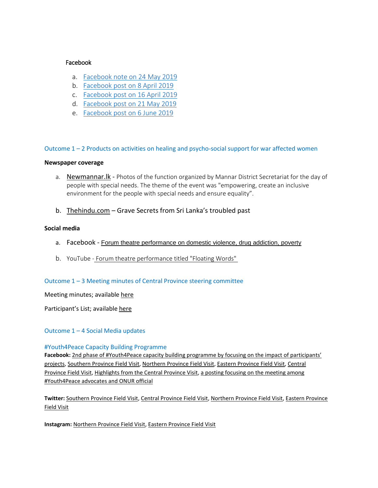# Facebook

- a. [Facebook note on 24 May 2019](https://www.facebook.com/notes/unfpa-sri-lanka/all-you-need-to-know-about-the-youth-peace-panel-sri-lanka/2430623950302734/)
- b. [Facebook post on 8 April 2019](https://www.facebook.com/UNFPASriLanka/photos/a.445372755494540/2357177230980740/?type=3&theater)
- c. [Facebook post on 16 April 2019](https://www.facebook.com/UNFPASriLanka/photos/a.445372755494540/2361474390551024/?type=3&theater)
- d. [Facebook post on 21 May 2019](https://www.facebook.com/UNFPASriLanka/photos/a.445372755494540/2427161210649008/?type=3&theater)
- e. [Facebook post on 6 June 2019](https://www.facebook.com/UNFPASriLanka/photos/a.445372755494540/2455471721151290/?type=3&theater)

### Outcome 1 – 2 Products on activities on healing and psycho-social support for war affected women

#### **Newspaper coverage**

- a. Newmannar. Ik Photos of the function organized by Mannar District Secretariat for the day of people with special needs. The theme of the event was "empowering, create an inclusive environment for the people with special needs and ensure equality".
- b. [Thehindu.com](https://www.thehindu.com/news/international/grave-secrets-from-a-troubled-past/article26030954.ece) Grave Secrets from Sri Lanka's troubled past

# **Social media**

- a. Facebook [Forum theatre performance on domestic violence, drug addiction, poverty](https://www.facebook.com/100003614146047/posts/1437967689667022/)
- b. YouTube [Forum theatre performance titled "Floating Words"](https://www.youtube.com/watch?v=8mrpjTb8QCI&feature=youtu.be)

# Outcome 1 – 3 Meeting minutes of Central Province steering committee

Meeting minutes; available [here](https://drive.google.com/file/d/1cFZAAKIcLx-Ku-auKTlIfYLSmYjBqnsh/view?usp=sharing)

Participant's List; available [here](https://drive.google.com/file/d/1mbXUHmsa1JTZyESY8RS5DIar02MtzVvb/view?usp=sharing)

# Outcome 1 – 4 Social Media updates

#### #Youth4Peace Capacity Building Programme

Facebook: 2nd phase of #Youth4Peace capacity building programme by focusing on the impact of participants' [projects,](https://www.facebook.com/UNVSriLanka/posts/2319738401432228?__xts__%5b0%5d=68.ARDcOf3zxIk2AGxnBS4Yldr7f8-StEqCGHf7gbrznXYTUygxm0RNLn07AY5h6cop-I0yumiUkiLQ4NJxoOyTHKrEOcosjhI4CH4UKmfuh2T78CgB12fvAPkA71BI-xB3uIG0l2QAVnLO1R3G1vDw4uf3dEqvvFq1uqJuztOD5oAwCkAbkU_205J6jyBriDr5rwp9EXzQYr849lk7r5VlO_mUrNP-oFcGOGjiVohrjaEwURjwINmOL1cOvdH7J4SztT6E64nGk56brVLxg5uw9Ir_EhZgoji_FPgX_RGr3x831C96zO8GBkQGXFgMwl4cwgTyT74W12FeQ1XnluXAWbH3fg&__tn__=-R) [Southern Province Field Visit,](https://www.facebook.com/UNVSriLanka/posts/2331108260295242) [Northern Province Field Visit,](https://emea01.safelinks.protection.outlook.com/?url=https%3A%2F%2Fwww.facebook.com%2FUNVSriLanka%2Fposts%2F2424062017666532&data=02%7C01%7Csooji.han%40undp.org%7C20ac58b57e624a00732008d67d39f5c5%7Cb3e5db5e2944483799f57488ace54319%7C0%7C0%7C636834085364729432&sdata=kExgnnJjVndF8MX1GKGZbxitQ4dXLi8olSca2Dyg0Po%3D&reserved=0) [Eastern Province Field Visit,](https://emea01.safelinks.protection.outlook.com/?url=https%3A%2F%2Fwww.facebook.com%2FUNVSriLanka%2Fposts%2F2424141330991934&data=02%7C01%7Csooji.han%40undp.org%7C20ac58b57e624a00732008d67d39f5c5%7Cb3e5db5e2944483799f57488ace54319%7C0%7C0%7C636834085364749447&sdata=fuIvbD2%2B%2BrD2RDJfgYuFqBao6VwGVVtMiXS7BG7m%2FnE%3D&reserved=0) [Central](https://www.facebook.com/UNVSriLanka/posts/2453040531435347)  [Province Field Visit,](https://www.facebook.com/UNVSriLanka/posts/2453040531435347) [Highlights from the Central Province Visit,](https://www.facebook.com/UNVSriLanka/posts/2478866532186080) [a posting focusing on the meeting among](https://www.facebook.com/UNVSriLanka/photos/a.190706951002061/2325637364175665/?type=3&theater)  [#Youth4Peace advocates and ONUR official](https://www.facebook.com/UNVSriLanka/photos/a.190706951002061/2325637364175665/?type=3&theater)

**Twitter:** [Southern Province Field](https://twitter.com/UNVSriLanka/status/1069519234026225665) Visit[, Central Province Field Visit,](https://twitter.com/UNVSriLanka/status/1091306468605714432) [Northern Province Field Visit,](https://emea01.safelinks.protection.outlook.com/?url=https%3A%2F%2Ftwitter.com%2FUNVSriLanka%2Fstatus%2F1086203975714496512&data=02%7C01%7Csooji.han%40undp.org%7C20ac58b57e624a00732008d67d39f5c5%7Cb3e5db5e2944483799f57488ace54319%7C0%7C0%7C636834085364729432&sdata=eHPaUl%2FMaQHl%2FHuayZaIyq9BRR9TCs5miM63WxnWvoE%3D&reserved=0) [Eastern Province](https://emea01.safelinks.protection.outlook.com/?url=https%3A%2F%2Ftwitter.com%2FUNVSriLanka%2Fstatus%2F1086221353655578624&data=02%7C01%7Csooji.han%40undp.org%7C20ac58b57e624a00732008d67d39f5c5%7Cb3e5db5e2944483799f57488ace54319%7C0%7C0%7C636834085364749447&sdata=tQgLOz%2Fyx%2FVnjZVmay6m5koBcdLHQbMCxEE85lyV3GM%3D&reserved=0)  [Field Visit](https://emea01.safelinks.protection.outlook.com/?url=https%3A%2F%2Ftwitter.com%2FUNVSriLanka%2Fstatus%2F1086221353655578624&data=02%7C01%7Csooji.han%40undp.org%7C20ac58b57e624a00732008d67d39f5c5%7Cb3e5db5e2944483799f57488ace54319%7C0%7C0%7C636834085364749447&sdata=tQgLOz%2Fyx%2FVnjZVmay6m5koBcdLHQbMCxEE85lyV3GM%3D&reserved=0)

**Instagram:** [Northern Province Field Visit,](https://emea01.safelinks.protection.outlook.com/?url=https%3A%2F%2Fwww.instagram.com%2Fp%2FBsxbglXHHpE%2F&data=02%7C01%7Csooji.han%40undp.org%7C20ac58b57e624a00732008d67d39f5c5%7Cb3e5db5e2944483799f57488ace54319%7C0%7C0%7C636834085364739437&sdata=xLupv%2BLm1yMsSLPAF98PJtmytYw533Rb0Uq2ptK4g7U%3D&reserved=0) [Eastern Province Field Visit](https://emea01.safelinks.protection.outlook.com/?url=https%3A%2F%2Fwww.instagram.com%2Fp%2FBsxkCQIn9Zj%2F&data=02%7C01%7Csooji.han%40undp.org%7C20ac58b57e624a00732008d67d39f5c5%7Cb3e5db5e2944483799f57488ace54319%7C0%7C0%7C636834085364759453&sdata=b99wwtQNXHmp5txyaQHJbsNakxLGc2fx2D4Ok2jsSSE%3D&reserved=0)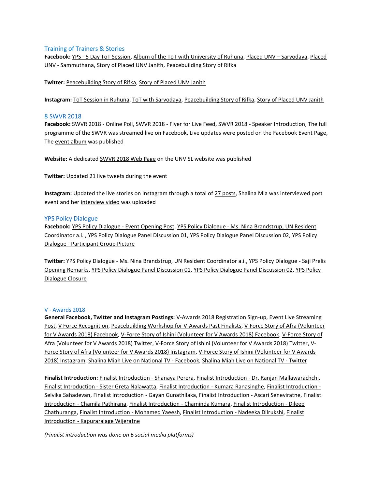#### Training of Trainers & Stories

**Facebook:** YPS - [5 Day ToT Session,](https://www.facebook.com/UNVSriLanka/posts/2333168943422507) [Album of the ToT with University of Ruhuna,](https://www.facebook.com/media/set/?set=a.2422047091201358&type=1&l=4f5ea3db9e) [Placed UNV](https://www.facebook.com/UNVSriLanka/posts/2268262059913196?__xts__%5b0%5d=68.ARCuHGj18mtL7Pxx85g5bRnq38vev0XyTX7D4J9I98YpbAwIKD_4oAvJAm9FtnNVj4pgMeY2FynnG2CKsFYcvM-J3J6rUk5TFoDGabmWzrIfbMrlJbeD5zs1glPcHz_T7jAVRqgu7GtfzoIYMi8iORsw_DSf05cw4RMI0GZHxcIMAqkVE_oJ9oO1rUyBvazBk6gq7i7FShoaLQXLl6gU-5XQbQbYp90s-Jew-DHa6_jN86nLAJ95dCObjWK6CiI0YlshaiTynWG9DmJpAUdYBA25KmwGvlkNxQ5qEUGVv3x9iNJ_r6h4IALAum2OI0S1LoKxg6Wk8_6bi2tM7XEw_hqfuA&__tn__=-R) – Sarvodaya[, Placed](https://www.facebook.com/UNVSriLanka/posts/2304372329635502?__xts__%5b0%5d=68.ARAI0ZKUEaPYCoHSPtaY3oY8lGSdNFtENmJ0MufFzM-dzwah3IGwAUiDBQRDbv5tmhWli_pZ2xdgV4VrVYTdPorHWxssm1uXxUlUyk4Z5dTS79X2E9cTzRsxtHNlOm-UNjAiDVAdv0gialUscVMu51Hnq2X4CCeX1fF-u7MKk4YFjDJ2srFHdbZV8tcmBjwcjSAQqH5c29T7szja2U-peitLX7XxxqWK4EwJc5PRdb8Oq2e9Zc-62gvUHkDgAYiNy5ANrIa0jOw-iAPrzoewGpZ6_U5OqB5fc-JyOsRQ3otAvIae-4XRubVsWMaucRrPIW8Ug_EN5DEX1p1w-Ix6B1pxFg&__tn__=-R)  UNV - [Sammuthana,](https://www.facebook.com/UNVSriLanka/posts/2304372329635502?__xts__%5b0%5d=68.ARAI0ZKUEaPYCoHSPtaY3oY8lGSdNFtENmJ0MufFzM-dzwah3IGwAUiDBQRDbv5tmhWli_pZ2xdgV4VrVYTdPorHWxssm1uXxUlUyk4Z5dTS79X2E9cTzRsxtHNlOm-UNjAiDVAdv0gialUscVMu51Hnq2X4CCeX1fF-u7MKk4YFjDJ2srFHdbZV8tcmBjwcjSAQqH5c29T7szja2U-peitLX7XxxqWK4EwJc5PRdb8Oq2e9Zc-62gvUHkDgAYiNy5ANrIa0jOw-iAPrzoewGpZ6_U5OqB5fc-JyOsRQ3otAvIae-4XRubVsWMaucRrPIW8Ug_EN5DEX1p1w-Ix6B1pxFg&__tn__=-R) [Story of Placed UNV Janith,](https://www.facebook.com/UNVSriLanka/posts/2510845932321473) Peacebuilding Story of Rifka

**Twitter:** [Peacebuilding Story of Rifka,](https://twitter.com/UNVSriLanka/status/1087598094676443137) [Story of Placed UNV Janith](https://twitter.com/UNVSriLanka/status/1100634975773220865)

**Instagram:** [ToT Session in Ruhuna,](https://www.instagram.com/s/aGlnaGxpZ2h0OjE3OTczODU5Mzk2MTYwODIx/) [ToT with Sarvodaya,](https://www.instagram.com/stories/highlights/18004362649081073/) [Peacebuilding Story of Rifka,](https://www.instagram.com/p/Bs7WS2an_fD/) [Story of Placed UNV Janith](https://www.instagram.com/p/BuX9CyWH2s7/)

#### 8 SWVR 2018

**Facebook:** [SWVR 2018 -](https://www.facebook.com/UNVSriLanka/posts/2337413972998004) Online Poll, SWVR 2018 - [Flyer for Live Feed,](https://www.facebook.com/UNVSriLanka/posts/2339062346166500) SWVR 2018 - [Speaker Introduction,](https://www.facebook.com/UNVSriLanka/posts/2344945202244881) The full programme of the SWVR was streame[d live](https://goo.gl/vTxqhz) on Facebook, Live updates were posted on th[e Facebook Event Page,](https://goo.gl/VeNRHa) Th[e event album](https://www.facebook.com/media/set/?set=a.2365205216885546&type=1&l=718aa88829) was published

**Website:** A dedicated [SWVR 2018 Web Page](http://unvlk.org/regional-launch-of-swvr-2018/) on the UNV SL website was published

**Twitter:** Updated [21 live tweets](https://twitter.com/UNVSriLanka) during the event

**Instagram:** Updated the live stories on Instagram through a total o[f 27 posts,](https://goo.gl/E1ubfV) Shalina Mia was interviewed post event and her [interview video](https://goo.gl/1qwGRb) was uploaded

#### YPS Policy Dialogue

**Facebook:** [YPS Policy Dialogue -](https://www.facebook.com/UNVSriLanka/posts/2349070471832354) Event Opening Post, YPS Policy Dialogue - [Ms. Nina Brandstrup, UN Resident](https://www.facebook.com/UNVSriLanka/posts/2349094635163271)  [Coordinator a.i.](https://www.facebook.com/UNVSriLanka/posts/2349094635163271) [, YPS Policy Dialogue Panel Discussion 01,](https://www.facebook.com/UNVSriLanka/posts/2349233008482767) [YPS Policy Dialogue Panel Discussion 02,](https://www.facebook.com/UNVSriLanka/posts/2349249615147773) [YPS Policy](https://www.facebook.com/UNVSriLanka/posts/2353210828084985)  Dialogue - [Participant Group Picture](https://www.facebook.com/UNVSriLanka/posts/2353210828084985)

**Twitter:** YPS Policy Dialogue - [Ms. Nina Brandstrup, UN Resident Coordinator a.i.,](https://twitter.com/UNVSriLanka/status/1072721373888299008) [YPS Policy Dialogue -](https://twitter.com/UNVSriLanka/status/1072724048025513984) Saji Prelis [Opening Remarks,](https://twitter.com/UNVSriLanka/status/1072724048025513984) [YPS Policy Dialogue Panel Discussion 01,](https://twitter.com/UNVSriLanka/status/1072735404305014785) [YPS Policy Dialogue Panel Discussion 02,](https://twitter.com/UNVSriLanka/status/1072748932793430016) [YPS Policy](https://twitter.com/UNVSriLanka/status/1073520963743035392)  [Dialogue Closure](https://twitter.com/UNVSriLanka/status/1073520963743035392)

#### V - Awards 2018

**General Facebook, Twitter and Instagram Postings:** [V-Awards 2018 Registration Sign-up,](https://www.facebook.com/UNVSriLanka/posts/2461507290588671) Event [Live Streaming](https://www.facebook.com/UNVSriLanka/posts/2476176142455119)  [Post,](https://www.facebook.com/UNVSriLanka/posts/2476176142455119) [V Force Recognition,](https://www.facebook.com/UNVSriLanka/posts/2478720525534014) [Peacebuilding Workshop for V-Awards Past Finalists,](https://www.facebook.com/UNVSriLanka/posts/2344966868909381) [V-Force Story of Afra \(Volunteer](https://www.facebook.com/UNVSriLanka/photos/a.190706951002061/2658165410922857/?type=3&theater)  [for V Awards 2018\) Facebook,](https://www.facebook.com/UNVSriLanka/photos/a.190706951002061/2658165410922857/?type=3&theater) [V-Force Story of Ishini \(Volunteer for V Awards 2018\) Facebook,](https://www.facebook.com/UNVSriLanka/photos/a.190706951002061/2691458590926872/?type=3&theater) [V-Force Story of](https://twitter.com/UNVSriLanka/status/1125726899844468736)  [Afra \(Volunteer for V Awards 2018\) Twitter,](https://twitter.com/UNVSriLanka/status/1125726899844468736) [V-Force Story of Ishini \(Volunteer for V Awards 2018\) Twitter,](https://twitter.com/UNVSriLanka/status/1130688292389761024) [V-](https://www.instagram.com/p/BxKQEFrHlrH/)[Force Story of Afra \(Volunteer for V Awards 2018\) Instagram,](https://www.instagram.com/p/BxKQEFrHlrH/) [V-Force Story of Ishini \(Volunteer for V Awards](https://www.instagram.com/p/BxtegvynwkJ/)  [2018\) Instagram,](https://www.instagram.com/p/BxtegvynwkJ/) [Shalina Miah Live on National TV -](https://www.facebook.com/UNVSriLanka/posts/2351108124961922) Facebook[, Shalina Miah Live on National TV -](https://twitter.com/UNVSriLanka/status/1073097737082564608) Twitter

**Finalist Introduction:** [Finalist Introduction -](https://www.facebook.com/UNVSriLanka/posts/2476193982453335) Shanaya Perera, Finalist Introduction - [Dr. Ranjan Mallawarachchi,](https://www.facebook.com/UNVSriLanka/posts/2478286272244106) Finalist Introduction - [Sister Greta Nalawatta,](https://www.facebook.com/UNVSriLanka/posts/2478485805557486) [Finalist Introduction -](https://www.facebook.com/UNVSriLanka/posts/2480576532015080) Kumara Ranasinghe[, Finalist Introduction -](https://www.facebook.com/UNVSriLanka/posts/2483353155070751) [Selvika Sahadevan,](https://www.facebook.com/UNVSriLanka/posts/2483353155070751) [Finalist Introduction -](https://www.facebook.com/UNVSriLanka/posts/2486408588098541) Gayan Gunathilaka[, Finalist Introduction -](https://www.facebook.com/UNVSriLanka/posts/2488124287926971) Ascari Seneviratne[, Finalist](https://www.facebook.com/UNVSriLanka/posts/2489150004491066)  Introduction - [Chamila Pathirana,](https://www.facebook.com/UNVSriLanka/posts/2489150004491066) [Finalist Introduction -](https://www.facebook.com/UNVSriLanka/posts/2489155274490539) Chaminda Kumara, [Finalist Introduction -](https://www.facebook.com/UNVSriLanka/posts/2489159271156806) Dileep [Chathuranga,](https://www.facebook.com/UNVSriLanka/posts/2489159271156806) [Finalist Introduction -](https://www.facebook.com/UNVSriLanka/posts/2490117327727667) Mohamed Yaeesh[, Finalist Introduction -](https://www.facebook.com/UNVSriLanka/posts/2490135691059164) Nadeeka Dilrukshi, [Finalist](https://www.facebook.com/UNVSriLanka/posts/2492915954114471)  Introduction - [Kapuraralage Wijeratne](https://www.facebook.com/UNVSriLanka/posts/2492915954114471)

*(Finalist introduction was done on 6 social media platforms)*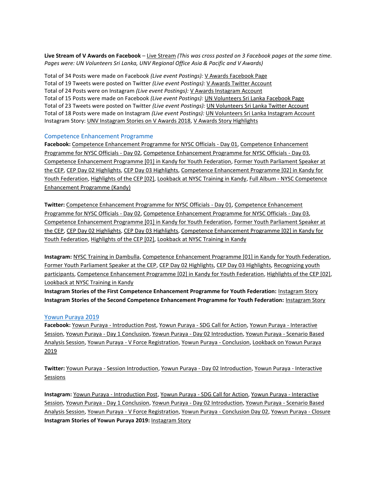**Live Stream of V Awards on Facebook** – [Live Stream](https://www.facebook.com/VAwards/videos/820921194913225/) *(This was cross posted on 3 Facebook pages at the same time. Pages were: UN Volunteers Sri Lanka, UNV Regional Office Asia & Pacific and V Awards)*

Total of 34 Posts were made on Facebook *(Live event Postings):* [V Awards Facebook Page](https://www.facebook.com/VAwards/) Total of 19 Tweets were posted on Twitter *(Live event Postings):* V Awards [Twitter Account](https://twitter.com/vawards_lk) Total of 24 Posts were on Instagram *(Live event Postings):* [V Awards Instagram Account](https://www.instagram.com/vawards_lk/) Total of 15 Posts were made on Facebook *(Live event Postings):* [UN Volunteers Sri Lanka Facebook Page](https://www.facebook.com/UNVSriLanka/) Total of 23 Tweets were posted on Twitter *(Live event Postings):* [UN Volunteers Sri Lanka Twitter Account](https://twitter.com/UNVSriLanka) Total of 18 Posts were made on Instagram *(Live event Postings):* [UN Volunteers Sri Lanka Instagram Account](https://www.instagram.com/unvsrilanka/) Instagram Story: [UNV Instagram Stories on V Awards 2018,](https://www.instagram.com/stories/highlights/17936367136268103/) [V Awards Story Highlights](https://www.instagram.com/stories/highlights/18012449239088153/)

#### Competence Enhancement Programme

**Facebook:** [Competence Enhancement Programme for NYSC Officials -](https://www.facebook.com/UNVSriLanka/posts/2359244110814990) Day 01[, Competence Enhancement](https://www.facebook.com/UNVSriLanka/posts/2359303770809024)  [Programme for NYSC Officials -](https://www.facebook.com/UNVSriLanka/posts/2359303770809024) Day 02[, Competence Enhancement Programme for NYSC Officials -](https://www.facebook.com/UNVSriLanka/posts/2359228580816543) Day 03, [Competence Enhancement Programme \[01\] in Kandy for Youth Federation,](https://www.facebook.com/UNVSriLanka/posts/2500431956696204) [Former Youth Parliament Speaker at](https://www.facebook.com/UNVSriLanka/posts/2500886849984048)  [the CEP,](https://www.facebook.com/UNVSriLanka/posts/2500886849984048) [CEP Day 02 Highlights,](https://www.facebook.com/UNVSriLanka/posts/2503126349760098) [CEP Day 03 Highlights,](https://www.facebook.com/UNVSriLanka/posts/2504973596242040) [Competence Enhancement Programme \[02\] in Kandy for](https://www.facebook.com/UNVSriLanka/posts/2510102765729123)  [Youth Federation,](https://www.facebook.com/UNVSriLanka/posts/2510102765729123) [Highlights of the CEP \[02\],](https://www.facebook.com/UNVSriLanka/posts/2512826675456732) [Lookback at NYSC Training in Kandy,](https://www.facebook.com/UNVSriLanka/posts/2539080879497978) Full Album - [NYSC Competence](https://www.facebook.com/pg/UNVSriLanka/photos/?tab=album&album_id=2567947593277973&__tn__=-UC-R)  [Enhancement Programme \(Kandy\)](https://www.facebook.com/pg/UNVSriLanka/photos/?tab=album&album_id=2567947593277973&__tn__=-UC-R)

**Twitter:** [Competence Enhancement Programme for NYSC Officials -](https://twitter.com/UNVSriLanka/status/1074939887600594944) Day 01, [Competence Enhancement](https://twitter.com/UNVSriLanka/status/1075012740610052098)  [Programme for NYSC Officials -](https://twitter.com/UNVSriLanka/status/1075012740610052098) Day 02[, Competence Enhancement Programme for NYSC Officials -](https://twitter.com/UNVSriLanka/status/1075013511573528577) Day 03, [Competence Enhancement Programme \[01\] in Kandy for Youth Federation,](https://twitter.com/UNVSriLanka/status/1099006996513243137) [Former Youth Parliament Speaker at](https://twitter.com/UNVSriLanka/status/1099007815002267650)  [the CEP,](https://twitter.com/UNVSriLanka/status/1099007815002267650) [CEP Day 02 Highlights,](https://twitter.com/UNVSriLanka/status/1099359681758224384) [CEP Day 03 Highlights,](https://twitter.com/UNVSriLanka/status/1099652178224926720) [Competence Enhancement Programme \[02\] in Kandy for](https://twitter.com/UNVSriLanka/status/1100502555891826689)  [Youth Federation,](https://twitter.com/UNVSriLanka/status/1100502555891826689) [Highlights of the CEP \[02\],](https://twitter.com/UNVSriLanka/status/1100976476726353920) [Lookback at NYSC Training in Kandy](https://twitter.com/UNVSriLanka/status/1105795727714770945)

**Instagram:** [NYSC Training in Dambulla,](https://www.instagram.com/s/aGlnaGxpZ2h0OjE3OTgyODYwNzQwMTQ1Nzkw/) [Competence Enhancement Programme \[01\] in Kandy for Youth Federation,](https://www.instagram.com/p/BuMQLJdnhpk/) [Former Youth Parliament Speaker at the CEP,](https://www.instagram.com/p/BuMWbPJnkcb/) [CEP Day 02 Highlights,](https://www.instagram.com/p/BuOMTpDHemB/) [CEP Day 03 Highlights,](https://www.instagram.com/p/BuRBMhCHJtY/) [Recognizing youth](https://www.instagram.com/p/BuRCTRgHjT-/)  [participants,](https://www.instagram.com/p/BuRCTRgHjT-/) [Competence Enhancement Programme \[02\] in Kandy for Youth Federation,](https://www.instagram.com/p/BuXw1JfHoJG/) [Highlights of the CEP \[02\],](https://www.instagram.com/p/BuaY21Hn2T-/)  [Lookback at NYSC Training in Kandy](https://www.instagram.com/p/Bu8jyzknJBv/)

**Instagram Stories of the First Competence Enhancement Programme for Youth Federation:** [Instagram Story](https://www.instagram.com/stories/highlights/17965350061238187/) **Instagram Stories of the Second Competence Enhancement Programme for Youth Federation:** [Instagram Story](https://www.instagram.com/stories/highlights/18040150555000112/)

#### Yowun Puraya 2019

**Facebook:** Yowun Puraya - [Introduction Post,](file:///C:/Users/UNV1/Desktop/Office%20Documents/Monthly%20Reports/Yowun%20Puraya%20-%20Introduction%20Post) Yowun Puraya - [SDG Call for Action,](https://www.facebook.com/UNVSriLanka/posts/2569947499744649) [Yowun Puraya -](https://www.facebook.com/UNVSriLanka/posts/2570077209731678) Interactive [Session,](https://www.facebook.com/UNVSriLanka/posts/2570077209731678) Yowun Puraya - [Day 1 Conclusion,](https://www.facebook.com/UNVSriLanka/posts/2570213549718044) Yowun Puraya - [Day 02 Introduction,](https://www.facebook.com/UNVSriLanka/posts/2571641456241920) [Yowun Puraya -](https://www.facebook.com/UNVSriLanka/posts/2571750159564383) Scenario Based [Analysis Session,](https://www.facebook.com/UNVSriLanka/posts/2571750159564383) Yowun Puraya - [V Force Registration,](https://www.facebook.com/UNVSriLanka/posts/2572060469533352) [Yowun Puraya -](https://www.facebook.com/UNVSriLanka/posts/2572393676166698) Conclusion, [Lookback on Yowun Puraya](https://twitter.com/UNVSriLanka/status/1112570945997144064)  [2019](https://twitter.com/UNVSriLanka/status/1112570945997144064)

**Twitter:** Yowun Puraya - [Session Introduction,](https://twitter.com/UNVSriLanka/status/1111233977430376450) Yowun Puraya - [Day 02 Introduction,](https://twitter.com/UNVSriLanka/status/1111510420592852992) [Yowun Puraya -](https://twitter.com/UNVSriLanka/status/1111582014174457856) Interactive [Sessions](https://twitter.com/UNVSriLanka/status/1111582014174457856)

**Instagram:** Yowun Puraya - [Introduction Post,](https://www.instagram.com/p/BvihvKHH4n6/) Yowun Puraya - [SDG Call for Action,](https://www.instagram.com/p/BvjEQ1QnVHC/) [Yowun Puraya -](https://www.instagram.com/p/BvjOU8WH3xE/) Interactive [Session,](https://www.instagram.com/p/BvjOU8WH3xE/) Yowun Puraya - [Day 1 Conclusion,](https://www.instagram.com/p/BvjYobmn8sI/) Yowun Puraya - [Day 02 Introduction,](https://www.instagram.com/p/BvlFs07nuS3/) [Yowun Puraya -](https://www.instagram.com/p/BvlRHdSnhOh/) Scenario Based [Analysis Session,](https://www.instagram.com/p/BvlRHdSnhOh/) Yowun Puraya - [V Force Registration,](https://www.instagram.com/p/BvlsTA6nLb1/) Yowun Puraya - [Conclusion Day 02,](https://www.instagram.com/p/Bvl5_E0nu-U/) [Yowun Puraya -](https://www.instagram.com/p/BvoFx66HaB4/) Closure **Instagram Stories of Yowun Puraya 2019:** [Instagram Story](https://www.instagram.com/stories/highlights/17847513694395388/)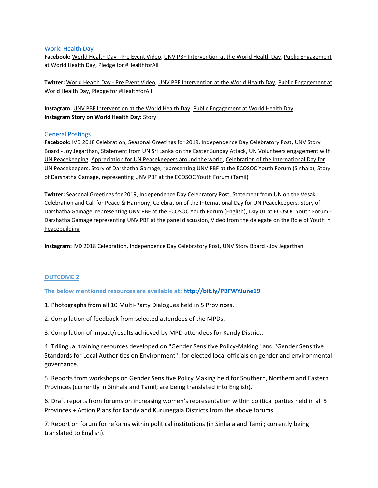#### World Health Day

**Facebook:** [World Health Day -](https://www.facebook.com/UNSriLanka/videos/2266014503646243/) Pre Event Video[, UNV PBF Intervention at the World Health Day,](https://www.facebook.com/UNVSriLanka/posts/2591329064273159) [Public Engagement](https://www.facebook.com/UNVSriLanka/posts/2591463664259699)  [at World Health Day,](https://www.facebook.com/UNVSriLanka/posts/2591463664259699) [Pledge for #HealthforAll](https://www.facebook.com/UNVSriLanka/posts/2591899237549475)

**Twitter:** [World Health Day -](https://twitter.com/UNVSriLanka/status/1114497255346589697) Pre Event Video[, UNV PBF Intervention at the World Health Day,](https://twitter.com/UNVSriLanka/status/1114763073082892288) [Public Engagement at](https://twitter.com/UNVSriLanka/status/1114788794518077441)  [World Health Day,](https://twitter.com/UNVSriLanka/status/1114788794518077441) [Pledge for #HealthforAll](https://twitter.com/UNVSriLanka/status/1114864475193012224)

**Instagram:** [UNV PBF Intervention at the World Health Day,](https://www.instagram.com/p/Bv8ir6xnPQH/) [Public Engagement at World Health Day](https://www.instagram.com/p/Bv9Bl8ongYO/) **Instagram [Story](https://www.instagram.com/stories/highlights/18053247667041312/) on World Health Day: Story** 

### General Postings

**Facebook:** [IVD 2018 Celebration,](https://www.facebook.com/UNVSriLanka/posts/2335259023213499) [Seasonal Greetings for 2019,](https://www.facebook.com/UNVSriLanka/posts/2386130271459707) [Independence Day Celebratory Post,](https://www.facebook.com/UNVSriLanka/posts/2459709290768471) [UNV Story](https://www.facebook.com/UNVSriLanka/photos/a.190706951002061/2535142346558498/?type=3&theater)  Board - [Joy Jegarthan,](https://www.facebook.com/UNVSriLanka/photos/a.190706951002061/2535142346558498/?type=3&theater) [Statement from UN Sri Lanka on the Easter Sunday Attack,](https://www.facebook.com/UNVSriLanka/posts/2648952988510766) [UN Volunteers engagement with](https://www.facebook.com/UNVSriLanka/posts/2706018759470855)  [UN Peacekeeping,](https://www.facebook.com/UNVSriLanka/posts/2706018759470855) [Appreciation for UN Peacekeepers around the world,](https://www.facebook.com/UNVSriLanka/posts/2706024456136952) [Celebration of the International Day for](https://www.facebook.com/UNVSriLanka/posts/2710850858987645)  [UN Peacekeepers,](https://www.facebook.com/UNVSriLanka/posts/2710850858987645) [Story of Darshatha Gamage, representing UNV PBF at the ECOSOC Youth Forum \(Sinhala\),](https://www.facebook.com/UNVSriLanka/posts/2597663383639727) [Story](https://www.facebook.com/UNVSriLanka/posts/2597666180306114)  [of Darshatha Gamage, representing UNV PBF at the ECOSOC Youth Forum \(Tamil\)](https://www.facebook.com/UNVSriLanka/posts/2597666180306114)

**Twitter:** [Seasonal Greetings for 2019,](https://twitter.com/UNVSriLanka/status/1079687079292854273) [Independence Day Celebratory Post,](https://twitter.com/UNVSriLanka/status/1092447958950240263) [Statement from UN on the Vesak](https://twitter.com/UNSriLanka/status/1129578572337729537)  [Celebration and Call for Peace & Harmony,](https://twitter.com/UNSriLanka/status/1129578572337729537) [Celebration of the International Day for UN Peacekeepers,](https://twitter.com/UNVSriLanka/status/1133615514939297793) [Story of](https://twitter.com/UNVSriLanka/status/1115477896091463681)  [Darshatha Gamage, representing UNV PBF at the ECOSOC Youth Forum \(English\),](https://twitter.com/UNVSriLanka/status/1115477896091463681) [Day 01 at ECOSOC Youth Forum -](https://twitter.com/UNVSriLanka/status/1115482937787465731) [Darshatha Gamage representing UNV PBF at the panel discussion,](https://twitter.com/UNVSriLanka/status/1115482937787465731) [Video from the delegate on the Role of Youth in](https://twitter.com/UNVSriLanka/status/1115858777931120640)  [Peacebuilding](https://twitter.com/UNVSriLanka/status/1115858777931120640)

**Instagram:** [IVD 2018 Celebration,](https://www.instagram.com/s/aGlnaGxpZ2h0OjE3OTg4NjI4MzgxMTIwMzA3/) [Independence Day Celebratory Post,](https://www.instagram.com/p/Btdx7I3H__K/) [UNV Story Board -](https://www.instagram.com/p/Bu3GHliHlj0/) Joy Jegarthan

# **OUTCOME 2**

**The below mentioned resources are available at:<http://bit.ly/PBFWYJune19>**

1. Photographs from all 10 Multi-Party Dialogues held in 5 Provinces.

2. Compilation of feedback from selected attendees of the MPDs.

3. Compilation of impact/results achieved by MPD attendees for Kandy District.

4. Trilingual training resources developed on "Gender Sensitive Policy-Making" and "Gender Sensitive Standards for Local Authorities on Environment": for elected local officials on gender and environmental governance.

5. Reports from workshops on Gender Sensitive Policy Making held for Southern, Northern and Eastern Provinces (currently in Sinhala and Tamil; are being translated into English).

6. Draft reports from forums on increasing women's representation within political parties held in all 5 Provinces + Action Plans for Kandy and Kurunegala Districts from the above forums.

7. Report on forum for reforms within political institutions (in Sinhala and Tamil; currently being translated to English).